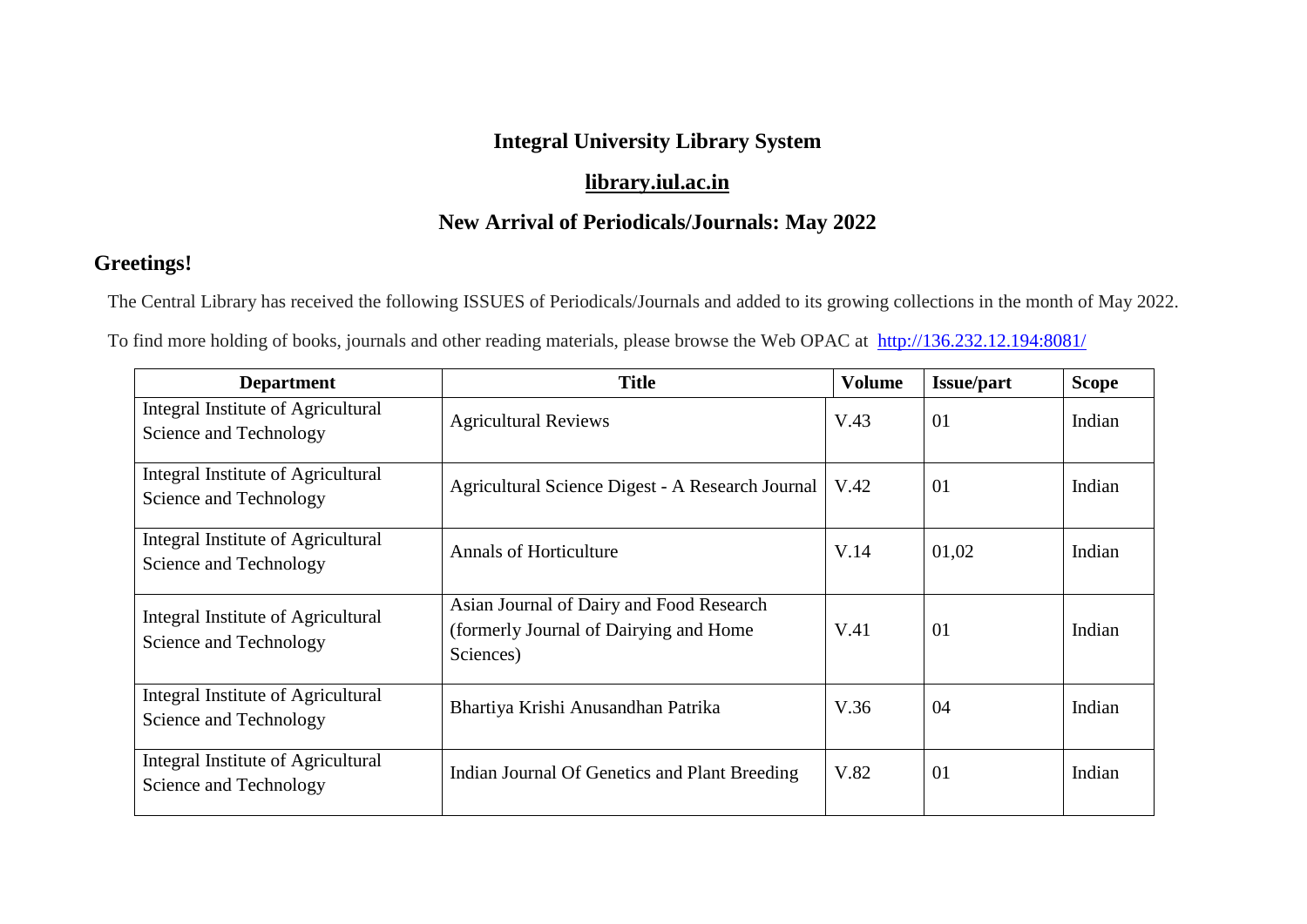## **Integral University Library System**

## **[library.iul.ac.in](http://library.iul.ac.in/)**

## **New Arrival of Periodicals/Journals: May 2022**

## **Greetings!**

The Central Library has received the following ISSUES of Periodicals/Journals and added to its growing collections in the month of May 2022.

To find more holding of books, journals and other reading materials, please browse the Web OPAC at <http://136.232.12.194:8081/>

| <b>Department</b>                                            | <b>Title</b>                                                                                     | <b>Volume</b> | <b>Issue/part</b> | <b>Scope</b> |
|--------------------------------------------------------------|--------------------------------------------------------------------------------------------------|---------------|-------------------|--------------|
| Integral Institute of Agricultural<br>Science and Technology | <b>Agricultural Reviews</b>                                                                      | V.43          | 01                | Indian       |
| Integral Institute of Agricultural<br>Science and Technology | Agricultural Science Digest - A Research Journal                                                 | V.42          | 01                | Indian       |
| Integral Institute of Agricultural<br>Science and Technology | <b>Annals of Horticulture</b>                                                                    | V.14          | 01,02             | Indian       |
| Integral Institute of Agricultural<br>Science and Technology | Asian Journal of Dairy and Food Research<br>(formerly Journal of Dairying and Home)<br>Sciences) | V.41          | 01                | Indian       |
| Integral Institute of Agricultural<br>Science and Technology | Bhartiya Krishi Anusandhan Patrika                                                               | V.36          | 04                | Indian       |
| Integral Institute of Agricultural<br>Science and Technology | Indian Journal Of Genetics and Plant Breeding                                                    | V.82          | 01                | Indian       |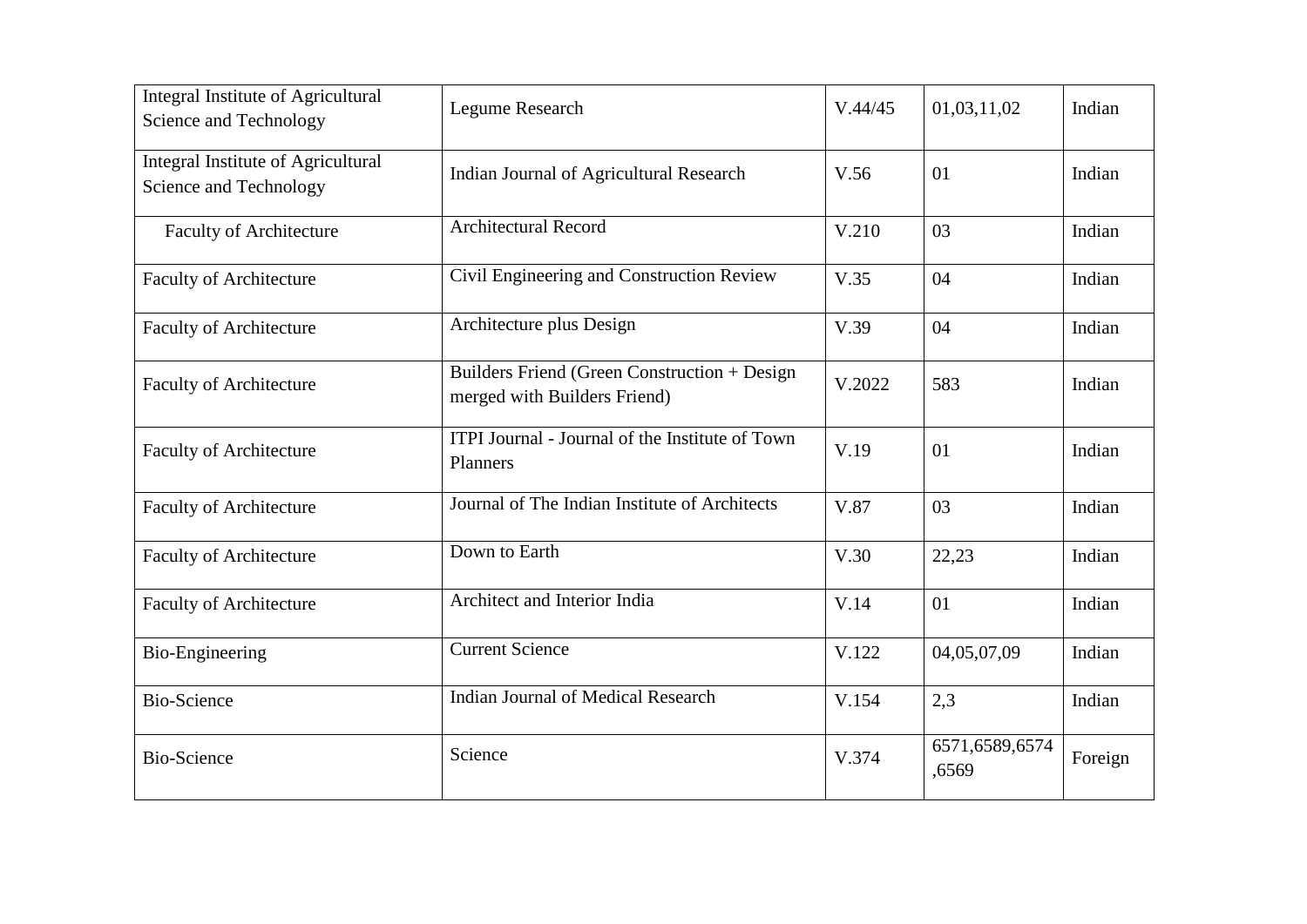| Integral Institute of Agricultural<br>Science and Technology        | <b>Legume Research</b>                                                       | V.44/45 | 01,03,11,02             | Indian  |
|---------------------------------------------------------------------|------------------------------------------------------------------------------|---------|-------------------------|---------|
| <b>Integral Institute of Agricultural</b><br>Science and Technology | Indian Journal of Agricultural Research                                      | V.56    | 01                      | Indian  |
| <b>Faculty of Architecture</b>                                      | Architectural Record                                                         | V.210   | 03                      | Indian  |
| <b>Faculty of Architecture</b>                                      | Civil Engineering and Construction Review                                    | V.35    | 04                      | Indian  |
| <b>Faculty of Architecture</b>                                      | Architecture plus Design                                                     | V.39    | 04                      | Indian  |
| <b>Faculty of Architecture</b>                                      | Builders Friend (Green Construction + Design<br>merged with Builders Friend) | V.2022  | 583                     | Indian  |
| <b>Faculty of Architecture</b>                                      | ITPI Journal - Journal of the Institute of Town<br>Planners                  | V.19    | 01                      | Indian  |
| <b>Faculty of Architecture</b>                                      | Journal of The Indian Institute of Architects                                | V.87    | 03                      | Indian  |
| <b>Faculty of Architecture</b>                                      | Down to Earth                                                                | V.30    | 22,23                   | Indian  |
| <b>Faculty of Architecture</b>                                      | Architect and Interior India                                                 | V.14    | 01                      | Indian  |
| <b>Bio-Engineering</b>                                              | <b>Current Science</b>                                                       | V.122   | 04,05,07,09             | Indian  |
| <b>Bio-Science</b>                                                  | <b>Indian Journal of Medical Research</b>                                    | V.154   | 2,3                     | Indian  |
| <b>Bio-Science</b>                                                  | Science                                                                      | V.374   | 6571,6589,6574<br>,6569 | Foreign |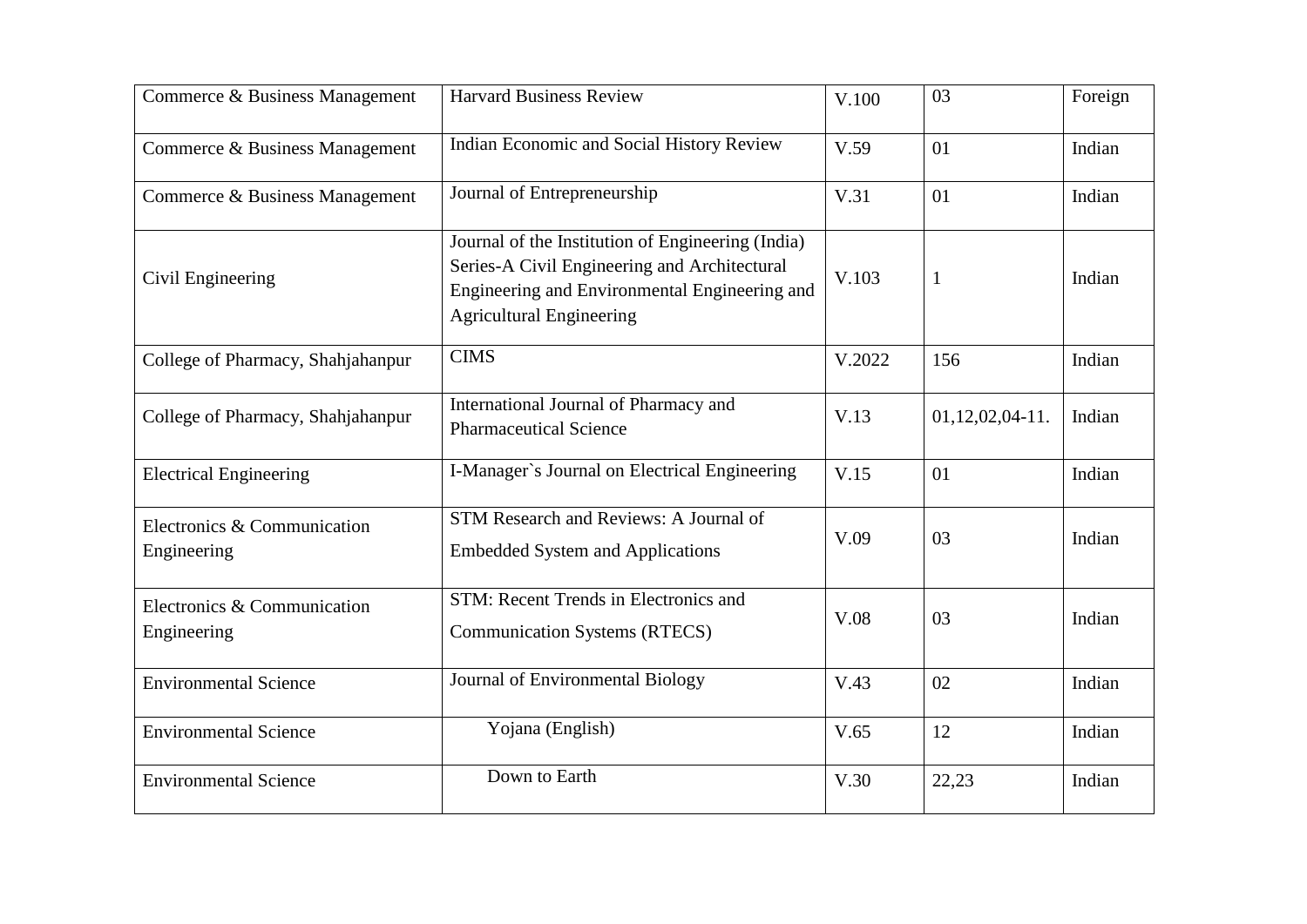| Commerce & Business Management             | <b>Harvard Business Review</b>                                                                                                                                                        | V.100  | 03                   | Foreign |
|--------------------------------------------|---------------------------------------------------------------------------------------------------------------------------------------------------------------------------------------|--------|----------------------|---------|
| Commerce & Business Management             | Indian Economic and Social History Review                                                                                                                                             | V.59   | 01                   | Indian  |
| Commerce & Business Management             | Journal of Entrepreneurship                                                                                                                                                           | V.31   | 01                   | Indian  |
| Civil Engineering                          | Journal of the Institution of Engineering (India)<br>Series-A Civil Engineering and Architectural<br>Engineering and Environmental Engineering and<br><b>Agricultural Engineering</b> | V.103  | $\mathbf{1}$         | Indian  |
| College of Pharmacy, Shahjahanpur          | <b>CIMS</b>                                                                                                                                                                           | V.2022 | 156                  | Indian  |
| College of Pharmacy, Shahjahanpur          | International Journal of Pharmacy and<br><b>Pharmaceutical Science</b>                                                                                                                | V.13   | $01, 12, 02, 04-11.$ | Indian  |
| <b>Electrical Engineering</b>              | I-Manager's Journal on Electrical Engineering                                                                                                                                         | V.15   | 01                   | Indian  |
| Electronics & Communication<br>Engineering | STM Research and Reviews: A Journal of<br><b>Embedded System and Applications</b>                                                                                                     | V.09   | 03                   | Indian  |
| Electronics & Communication<br>Engineering | STM: Recent Trends in Electronics and<br><b>Communication Systems (RTECS)</b>                                                                                                         | V.08   | 03                   | Indian  |
| <b>Environmental Science</b>               | Journal of Environmental Biology                                                                                                                                                      | V.43   | 02                   | Indian  |
| <b>Environmental Science</b>               | Yojana (English)                                                                                                                                                                      | V.65   | 12                   | Indian  |
| <b>Environmental Science</b>               | Down to Earth                                                                                                                                                                         | V.30   | 22,23                | Indian  |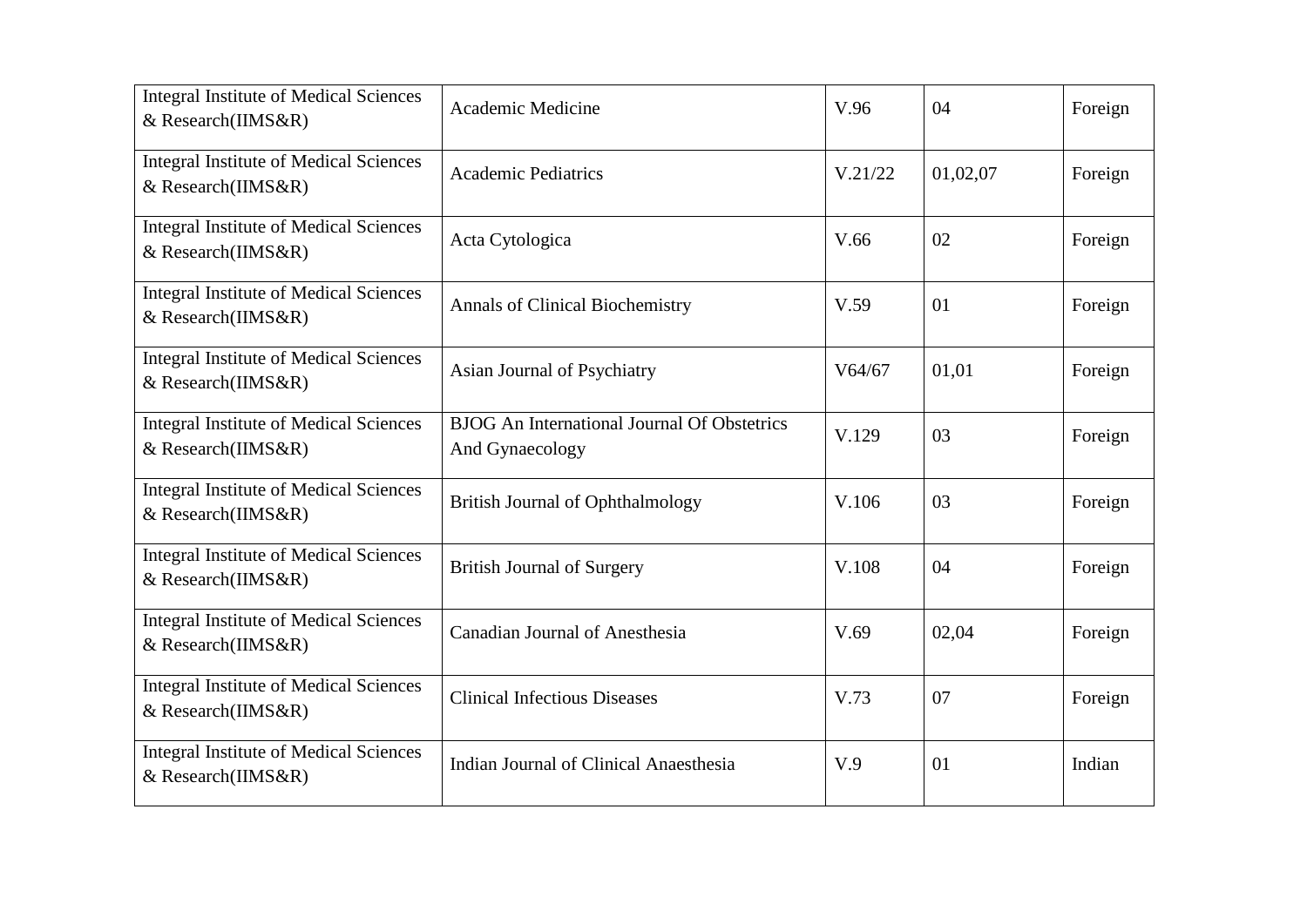| <b>Integral Institute of Medical Sciences</b><br>& Research(IIMS&R) | Academic Medicine                                                     | V.96    | 04       | Foreign |
|---------------------------------------------------------------------|-----------------------------------------------------------------------|---------|----------|---------|
| <b>Integral Institute of Medical Sciences</b><br>& Research(IIMS&R) | <b>Academic Pediatrics</b>                                            | V.21/22 | 01,02,07 | Foreign |
| <b>Integral Institute of Medical Sciences</b><br>& Research(IIMS&R) | Acta Cytologica                                                       | V.66    | 02       | Foreign |
| <b>Integral Institute of Medical Sciences</b><br>& Research(IIMS&R) | Annals of Clinical Biochemistry                                       | V.59    | 01       | Foreign |
| <b>Integral Institute of Medical Sciences</b><br>& Research(IIMS&R) | Asian Journal of Psychiatry                                           | V64/67  | 01,01    | Foreign |
| <b>Integral Institute of Medical Sciences</b><br>& Research(IIMS&R) | <b>BJOG</b> An International Journal Of Obstetrics<br>And Gynaecology | V.129   | 03       | Foreign |
| <b>Integral Institute of Medical Sciences</b><br>& Research(IIMS&R) | <b>British Journal of Ophthalmology</b>                               | V.106   | 03       | Foreign |
| <b>Integral Institute of Medical Sciences</b><br>& Research(IIMS&R) | <b>British Journal of Surgery</b>                                     | V.108   | 04       | Foreign |
| <b>Integral Institute of Medical Sciences</b><br>& Research(IIMS&R) | <b>Canadian Journal of Anesthesia</b>                                 | V.69    | 02,04    | Foreign |
| <b>Integral Institute of Medical Sciences</b><br>& Research(IIMS&R) | <b>Clinical Infectious Diseases</b>                                   | V.73    | 07       | Foreign |
| <b>Integral Institute of Medical Sciences</b><br>& Research(IIMS&R) | Indian Journal of Clinical Anaesthesia                                | V.9     | 01       | Indian  |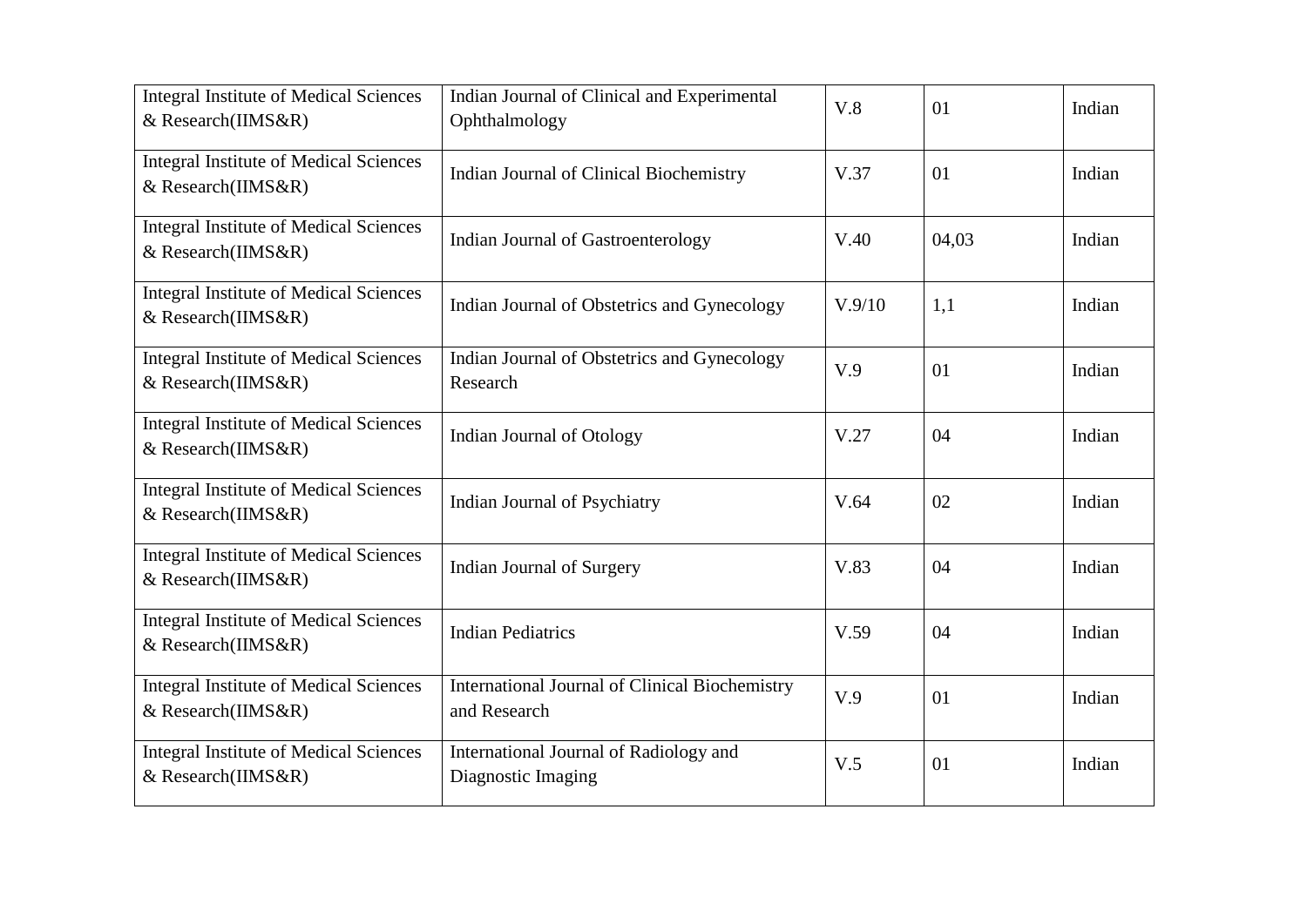| <b>Integral Institute of Medical Sciences</b><br>& Research(IIMS&R) | Indian Journal of Clinical and Experimental<br>Ophthalmology   | V.8    | 01    | Indian |
|---------------------------------------------------------------------|----------------------------------------------------------------|--------|-------|--------|
| <b>Integral Institute of Medical Sciences</b><br>& Research(IIMS&R) | Indian Journal of Clinical Biochemistry                        | V.37   | 01    | Indian |
| <b>Integral Institute of Medical Sciences</b><br>& Research(IIMS&R) | Indian Journal of Gastroenterology                             | V.40   | 04,03 | Indian |
| <b>Integral Institute of Medical Sciences</b><br>& Research(IIMS&R) | Indian Journal of Obstetrics and Gynecology                    | V.9/10 | 1,1   | Indian |
| <b>Integral Institute of Medical Sciences</b><br>& Research(IIMS&R) | Indian Journal of Obstetrics and Gynecology<br>Research        | V.9    | 01    | Indian |
| <b>Integral Institute of Medical Sciences</b><br>& Research(IIMS&R) | <b>Indian Journal of Otology</b>                               | V.27   | 04    | Indian |
| <b>Integral Institute of Medical Sciences</b><br>& Research(IIMS&R) | Indian Journal of Psychiatry                                   | V.64   | 02    | Indian |
| <b>Integral Institute of Medical Sciences</b><br>& Research(IIMS&R) | Indian Journal of Surgery                                      | V.83   | 04    | Indian |
| <b>Integral Institute of Medical Sciences</b><br>& Research(IIMS&R) | <b>Indian Pediatrics</b>                                       | V.59   | 04    | Indian |
| <b>Integral Institute of Medical Sciences</b><br>& Research(IIMS&R) | International Journal of Clinical Biochemistry<br>and Research | V.9    | 01    | Indian |
| <b>Integral Institute of Medical Sciences</b><br>& Research(IIMS&R) | International Journal of Radiology and<br>Diagnostic Imaging   | V.5    | 01    | Indian |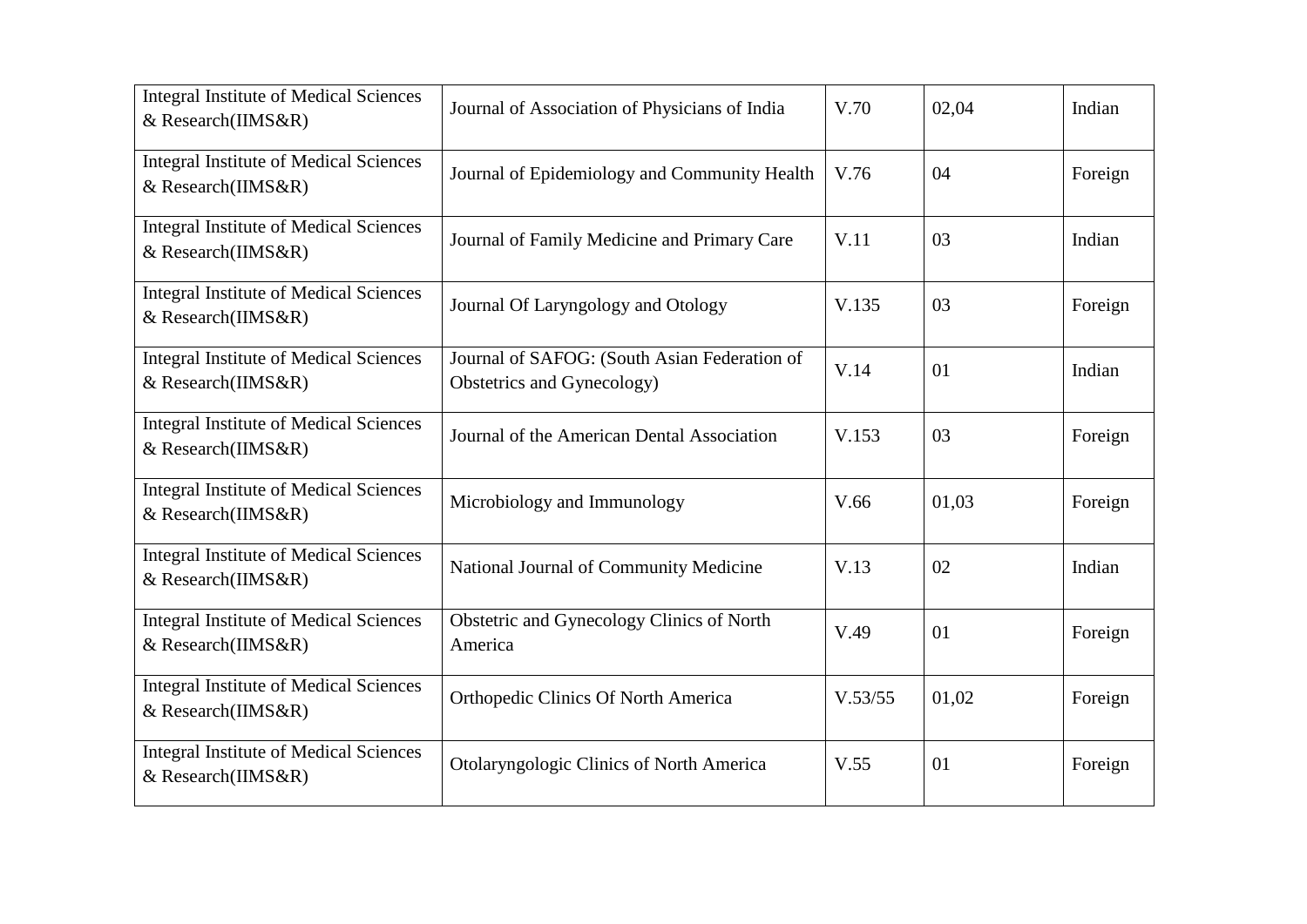| <b>Integral Institute of Medical Sciences</b><br>& Research(IIMS&R)       | Journal of Association of Physicians of India                              | V.70    | 02,04 | Indian  |
|---------------------------------------------------------------------------|----------------------------------------------------------------------------|---------|-------|---------|
| <b>Integral Institute of Medical Sciences</b><br>& Research(IIMS&R)       | Journal of Epidemiology and Community Health                               | V.76    | 04    | Foreign |
| <b>Integral Institute of Medical Sciences</b><br>& Research(IIMS&R)       | Journal of Family Medicine and Primary Care                                | V.11    | 03    | Indian  |
| <b>Integral Institute of Medical Sciences</b><br>& Research(IIMS&R)       | Journal Of Laryngology and Otology                                         | V.135   | 03    | Foreign |
| <b>Integral Institute of Medical Sciences</b><br>& Research(IIMS&R)       | Journal of SAFOG: (South Asian Federation of<br>Obstetrics and Gynecology) | V.14    | 01    | Indian  |
| <b>Integral Institute of Medical Sciences</b><br>& Research(IIMS&R)       | Journal of the American Dental Association                                 | V.153   | 03    | Foreign |
| <b>Integral Institute of Medical Sciences</b><br>& Research(IIMS&R)       | Microbiology and Immunology                                                | V.66    | 01,03 | Foreign |
| <b>Integral Institute of Medical Sciences</b><br>$&$ Research(IIMS $&$ R) | National Journal of Community Medicine                                     | V.13    | 02    | Indian  |
| <b>Integral Institute of Medical Sciences</b><br>& Research(IIMS&R)       | Obstetric and Gynecology Clinics of North<br>America                       | V.49    | 01    | Foreign |
| <b>Integral Institute of Medical Sciences</b><br>& Research(IIMS&R)       | Orthopedic Clinics Of North America                                        | V.53/55 | 01,02 | Foreign |
| <b>Integral Institute of Medical Sciences</b><br>& Research(IIMS&R)       | Otolaryngologic Clinics of North America                                   | V.55    | 01    | Foreign |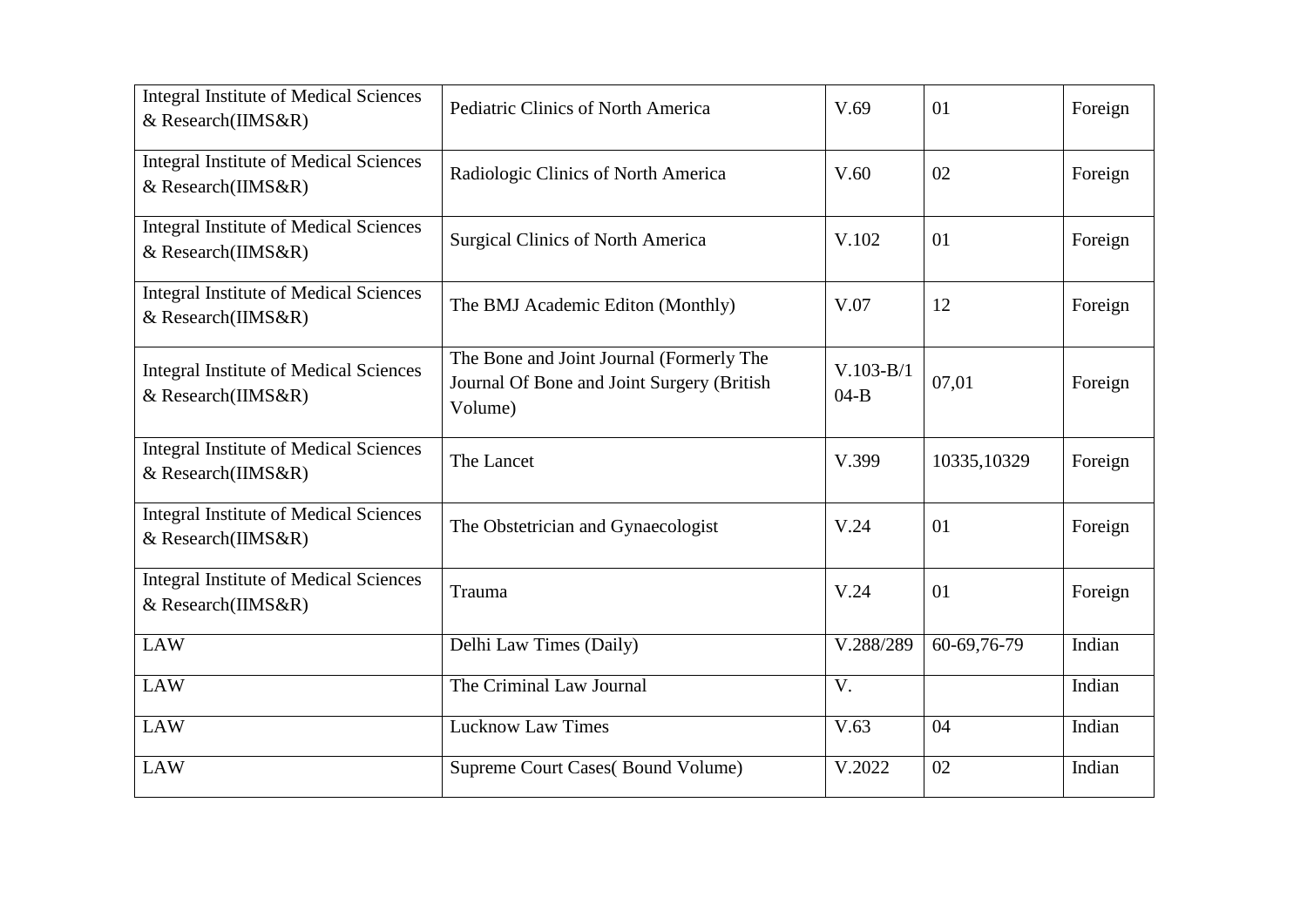| <b>Integral Institute of Medical Sciences</b><br>& Research(IIMS&R) | Pediatric Clinics of North America                                                                | V.69                    | 01          | Foreign |
|---------------------------------------------------------------------|---------------------------------------------------------------------------------------------------|-------------------------|-------------|---------|
| <b>Integral Institute of Medical Sciences</b><br>& Research(IIMS&R) | Radiologic Clinics of North America                                                               | V.60                    | 02          | Foreign |
| <b>Integral Institute of Medical Sciences</b><br>& Research(IIMS&R) | <b>Surgical Clinics of North America</b>                                                          | V.102                   | 01          | Foreign |
| <b>Integral Institute of Medical Sciences</b><br>& Research(IIMS&R) | The BMJ Academic Editon (Monthly)                                                                 | V.07                    | 12          | Foreign |
| <b>Integral Institute of Medical Sciences</b><br>& Research(IIMS&R) | The Bone and Joint Journal (Formerly The<br>Journal Of Bone and Joint Surgery (British<br>Volume) | $V.103 - B/1$<br>$04-B$ | 07,01       | Foreign |
| <b>Integral Institute of Medical Sciences</b><br>& Research(IIMS&R) | The Lancet                                                                                        | V.399                   | 10335,10329 | Foreign |
| <b>Integral Institute of Medical Sciences</b><br>& Research(IIMS&R) | The Obstetrician and Gynaecologist                                                                | V.24                    | 01          | Foreign |
| <b>Integral Institute of Medical Sciences</b><br>& Research(IIMS&R) | Trauma                                                                                            | V.24                    | 01          | Foreign |
| <b>LAW</b>                                                          | Delhi Law Times (Daily)                                                                           | V.288/289               | 60-69,76-79 | Indian  |
| <b>LAW</b>                                                          | The Criminal Law Journal                                                                          | V.                      |             | Indian  |
| <b>LAW</b>                                                          | <b>Lucknow Law Times</b>                                                                          | V.63                    | 04          | Indian  |
| <b>LAW</b>                                                          | Supreme Court Cases(Bound Volume)                                                                 | V.2022                  | 02          | Indian  |